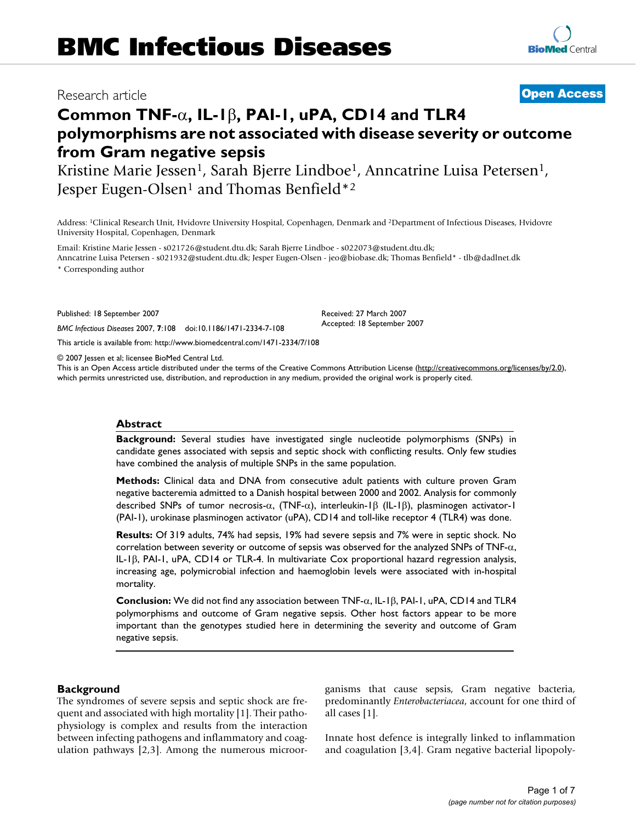# Research article **[Open Access](http://www.biomedcentral.com/info/about/charter/)**

**[BioMed](http://www.biomedcentral.com/)** Central

# **Common TNF-**α**, IL-1**β**, PAI-1, uPA, CD14 and TLR4 polymorphisms are not associated with disease severity or outcome from Gram negative sepsis**

Kristine Marie Jessen<sup>1</sup>, Sarah Bjerre Lindboe<sup>1</sup>, Anncatrine Luisa Petersen<sup>1</sup>, Jesper Eugen-Olsen<sup>1</sup> and Thomas Benfield<sup>\*2</sup>

Address: 1Clinical Research Unit, Hvidovre University Hospital, Copenhagen, Denmark and 2Department of Infectious Diseases, Hvidovre University Hospital, Copenhagen, Denmark

Email: Kristine Marie Jessen - s021726@student.dtu.dk; Sarah Bjerre Lindboe - s022073@student.dtu.dk; Anncatrine Luisa Petersen - s021932@student.dtu.dk; Jesper Eugen-Olsen - jeo@biobase.dk; Thomas Benfield\* - tlb@dadlnet.dk

\* Corresponding author

Published: 18 September 2007

*BMC Infectious Diseases* 2007, **7**:108 doi:10.1186/1471-2334-7-108

[This article is available from: http://www.biomedcentral.com/1471-2334/7/108](http://www.biomedcentral.com/1471-2334/7/108)

© 2007 Jessen et al; licensee BioMed Central Ltd.

This is an Open Access article distributed under the terms of the Creative Commons Attribution License [\(http://creativecommons.org/licenses/by/2.0\)](http://creativecommons.org/licenses/by/2.0), which permits unrestricted use, distribution, and reproduction in any medium, provided the original work is properly cited.

Received: 27 March 2007 Accepted: 18 September 2007

## **Abstract**

**Background:** Several studies have investigated single nucleotide polymorphisms (SNPs) in candidate genes associated with sepsis and septic shock with conflicting results. Only few studies have combined the analysis of multiple SNPs in the same population.

**Methods:** Clinical data and DNA from consecutive adult patients with culture proven Gram negative bacteremia admitted to a Danish hospital between 2000 and 2002. Analysis for commonly described SNPs of tumor necrosis-α, (TNF-α), interleukin-1β (IL-1β), plasminogen activator-1 (PAI-1), urokinase plasminogen activator (uPA), CD14 and toll-like receptor 4 (TLR4) was done.

**Results:** Of 319 adults, 74% had sepsis, 19% had severe sepsis and 7% were in septic shock. No correlation between severity or outcome of sepsis was observed for the analyzed SNPs of TNF- $\alpha$ , IL-1β, PAI-1, uPA, CD14 or TLR-4. In multivariate Cox proportional hazard regression analysis, increasing age, polymicrobial infection and haemoglobin levels were associated with in-hospital mortality.

**Conclusion:** We did not find any association between TNF-α, IL-1β, PAI-1, uPA, CD14 and TLR4 polymorphisms and outcome of Gram negative sepsis. Other host factors appear to be more important than the genotypes studied here in determining the severity and outcome of Gram negative sepsis.

## **Background**

The syndromes of severe sepsis and septic shock are frequent and associated with high mortality [1]. Their pathophysiology is complex and results from the interaction between infecting pathogens and inflammatory and coagulation pathways [2,3]. Among the numerous microorganisms that cause sepsis, Gram negative bacteria, predominantly *Enterobacteriacea*, account for one third of all cases [1].

Innate host defence is integrally linked to inflammation and coagulation [3,4]. Gram negative bacterial lipopoly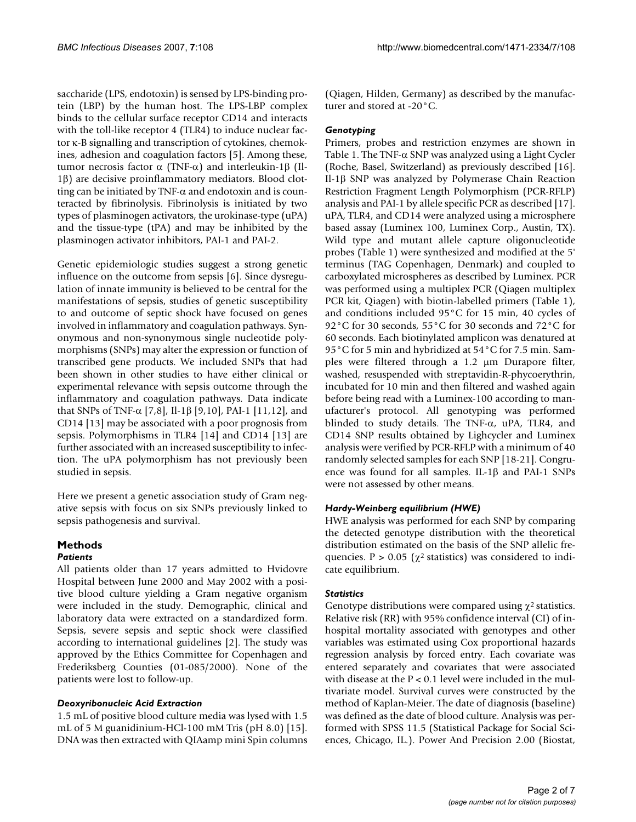saccharide (LPS, endotoxin) is sensed by LPS-binding protein (LBP) by the human host. The LPS-LBP complex binds to the cellular surface receptor CD14 and interacts with the toll-like receptor 4 (TLR4) to induce nuclear factor κ-B signalling and transcription of cytokines, chemokines, adhesion and coagulation factors [5]. Among these, tumor necrosis factor α (TNF-α) and interleukin-1β (Il-1β) are decisive proinflammatory mediators. Blood clotting can be initiated by TNF- $\alpha$  and endotoxin and is counteracted by fibrinolysis. Fibrinolysis is initiated by two types of plasminogen activators, the urokinase-type (uPA) and the tissue-type (tPA) and may be inhibited by the plasminogen activator inhibitors, PAI-1 and PAI-2.

Genetic epidemiologic studies suggest a strong genetic influence on the outcome from sepsis [6]. Since dysregulation of innate immunity is believed to be central for the manifestations of sepsis, studies of genetic susceptibility to and outcome of septic shock have focused on genes involved in inflammatory and coagulation pathways. Synonymous and non-synonymous single nucleotide polymorphisms (SNPs) may alter the expression or function of transcribed gene products. We included SNPs that had been shown in other studies to have either clinical or experimental relevance with sepsis outcome through the inflammatory and coagulation pathways. Data indicate that SNPs of TNF-α [7,8], Il-1β [9,10], PAI-1 [11,12], and CD14 [13] may be associated with a poor prognosis from sepsis. Polymorphisms in TLR4 [14] and CD14 [13] are further associated with an increased susceptibility to infection. The uPA polymorphism has not previously been studied in sepsis.

Here we present a genetic association study of Gram negative sepsis with focus on six SNPs previously linked to sepsis pathogenesis and survival.

# **Methods**

## *Patients*

All patients older than 17 years admitted to Hvidovre Hospital between June 2000 and May 2002 with a positive blood culture yielding a Gram negative organism were included in the study. Demographic, clinical and laboratory data were extracted on a standardized form. Sepsis, severe sepsis and septic shock were classified according to international guidelines [2]. The study was approved by the Ethics Committee for Copenhagen and Frederiksberg Counties (01-085/2000). None of the patients were lost to follow-up.

## *Deoxyribonucleic Acid Extraction*

1.5 mL of positive blood culture media was lysed with 1.5 mL of 5 M guanidinium-HCl-100 mM Tris (pH 8.0) [15]. DNA was then extracted with QIAamp mini Spin columns (Qiagen, Hilden, Germany) as described by the manufacturer and stored at -20°C.

## *Genotyping*

Primers, probes and restriction enzymes are shown in Table 1. The TNF- $\alpha$  SNP was analyzed using a Light Cycler (Roche, Basel, Switzerland) as previously described [16]. Il-1β SNP was analyzed by Polymerase Chain Reaction Restriction Fragment Length Polymorphism (PCR-RFLP) analysis and PAI-1 by allele specific PCR as described [17]. uPA, TLR4, and CD14 were analyzed using a microsphere based assay (Luminex 100, Luminex Corp., Austin, TX). Wild type and mutant allele capture oligonucleotide probes (Table 1) were synthesized and modified at the 5' terminus (TAG Copenhagen, Denmark) and coupled to carboxylated microspheres as described by Luminex. PCR was performed using a multiplex PCR (Qiagen multiplex PCR kit, Qiagen) with biotin-labelled primers (Table 1), and conditions included 95°C for 15 min, 40 cycles of 92°C for 30 seconds, 55°C for 30 seconds and 72°C for 60 seconds. Each biotinylated amplicon was denatured at 95°C for 5 min and hybridized at 54°C for 7.5 min. Samples were filtered through a 1.2 µm Durapore filter, washed, resuspended with streptavidin-R-phycoerythrin, incubated for 10 min and then filtered and washed again before being read with a Luminex-100 according to manufacturer's protocol. All genotyping was performed blinded to study details. The TNF-α, uPA, TLR4, and CD14 SNP results obtained by Lighcycler and Luminex analysis were verified by PCR-RFLP with a minimum of 40 randomly selected samples for each SNP [18-21]. Congruence was found for all samples. IL-1β and PAI-1 SNPs were not assessed by other means.

## *Hardy-Weinberg equilibrium (HWE)*

HWE analysis was performed for each SNP by comparing the detected genotype distribution with the theoretical distribution estimated on the basis of the SNP allelic frequencies.  $P > 0.05$  ( $\chi^2$  statistics) was considered to indicate equilibrium.

## *Statistics*

Genotype distributions were compared using  $\chi^2$  statistics. Relative risk (RR) with 95% confidence interval (CI) of inhospital mortality associated with genotypes and other variables was estimated using Cox proportional hazards regression analysis by forced entry. Each covariate was entered separately and covariates that were associated with disease at the  $P < 0.1$  level were included in the multivariate model. Survival curves were constructed by the method of Kaplan-Meier. The date of diagnosis (baseline) was defined as the date of blood culture. Analysis was performed with SPSS 11.5 (Statistical Package for Social Sciences, Chicago, IL.). Power And Precision 2.00 (Biostat,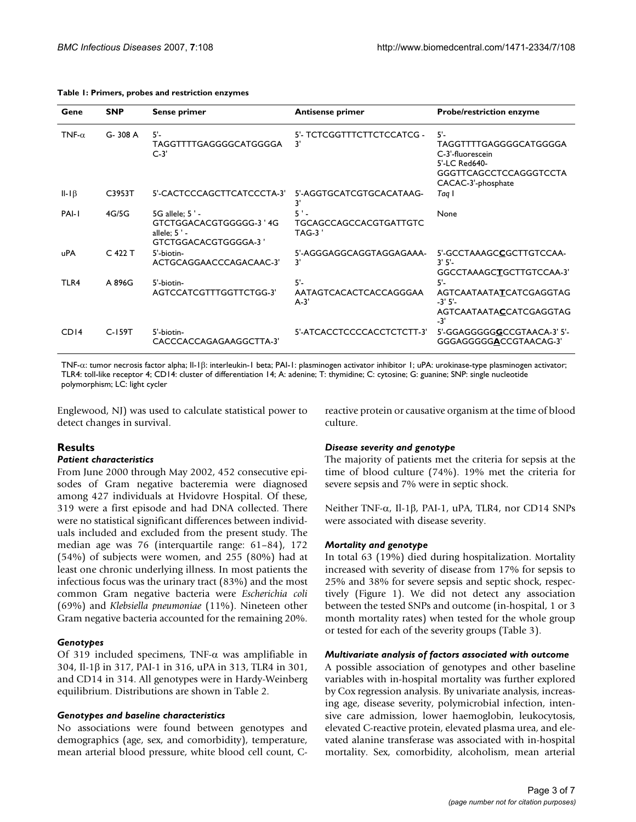| Gene             | <b>SNP</b> | Sense primer                                                                       | <b>Antisense primer</b>                    | <b>Probe/restriction enzyme</b>                                                                                             |
|------------------|------------|------------------------------------------------------------------------------------|--------------------------------------------|-----------------------------------------------------------------------------------------------------------------------------|
| TNF- $\alpha$    | G-308 A    | $5 -$<br>TAGGTTTTGAGGGGCATGGGGA<br>$C-3'$                                          | 5'- TCTCGGTTTCTTCTCCATCG -<br>3'           | $5^{\prime}$<br>TAGGTTTTGAGGGGCATGGGGA<br>C-3'-fluorescein<br>5'-LC Red640-<br>GGGTTCAGCCTCCAGGGTCCTA<br>CACAC-3'-phosphate |
| $II-I\beta$      | C3953T     | 5'-CACTCCCAGCTTCATCCCTA-3'                                                         | 5'-AGGTGCATCGTGCACATAAG-<br>3'             | Taq I                                                                                                                       |
| PAI-I            | 4G/5G      | 5G allele: 5'-<br>GTCTGGACACGTGGGGG-3 '4G<br>allele: $5'$ -<br>GTCTGGACACGTGGGGA-3 | TGCAGCCAGCCACGTGATTGTC<br>$TAG-3'$         | None                                                                                                                        |
| uPA              | $C$ 422 T  | 5'-biotin-<br>ACTGCAGGAACCCAGACAAC-3'                                              | 5'-AGGGAGGCAGGTAGGAGAAA-<br>3'             | 5'-GCCTAAAGCCGCTTGTCCAA-<br>3'5'<br>GGCCTAAAGCTGCTTGTCCAA-3'                                                                |
| TLR4             | A 896G     | 5'-biotin-<br>AGTCCATCGTTTGGTTCTGG-3'                                              | $5'$ -<br>AATAGTCACACTCACCAGGGAA<br>$A-3'$ | $5 -$<br>AGTCAATAATATCATCGAGGTAG<br>$-3'5'$<br>AGTCAATAATACCATCGAGGTAG<br>$-3'$                                             |
| CD <sub>14</sub> | $C-159T$   | 5'-biotin-<br>CACCCACCAGAGAAGGCTTA-3'                                              | 5'-ATCACCTCCCCACCTCTCTT-3'                 | 5'-GGAGGGGGCCCGTAACA-3' 5'-<br>GGGAGGGGGACCGTAACAG-3'                                                                       |

#### **Table 1: Primers, probes and restriction enzymes**

TNF-α: tumor necrosis factor alpha; Il-1β: interleukin-1 beta; PAI-1: plasminogen activator inhibitor 1; uPA: urokinase-type plasminogen activator; TLR4: toll-like receptor 4; CD14: cluster of differentiation 14; A: adenine; T: thymidine; C: cytosine; G: guanine; SNP: single nucleotide polymorphism; LC: light cycler

Englewood, NJ) was used to calculate statistical power to detect changes in survival.

## **Results**

#### *Patient characteristics*

From June 2000 through May 2002, 452 consecutive episodes of Gram negative bacteremia were diagnosed among 427 individuals at Hvidovre Hospital. Of these, 319 were a first episode and had DNA collected. There were no statistical significant differences between individuals included and excluded from the present study. The median age was 76 (interquartile range: 61–84), 172 (54%) of subjects were women, and 255 (80%) had at least one chronic underlying illness. In most patients the infectious focus was the urinary tract (83%) and the most common Gram negative bacteria were *Escherichia coli* (69%) and *Klebsiella pneumoniae* (11%). Nineteen other Gram negative bacteria accounted for the remaining 20%.

### *Genotypes*

Of 319 included specimens, TNF- $\alpha$  was amplifiable in 304, Il-1β in 317, PAI-1 in 316, uPA in 313, TLR4 in 301, and CD14 in 314. All genotypes were in Hardy-Weinberg equilibrium. Distributions are shown in Table 2.

### *Genotypes and baseline characteristics*

No associations were found between genotypes and demographics (age, sex, and comorbidity), temperature, mean arterial blood pressure, white blood cell count, C- reactive protein or causative organism at the time of blood culture.

### *Disease severity and genotype*

The majority of patients met the criteria for sepsis at the time of blood culture (74%). 19% met the criteria for severe sepsis and 7% were in septic shock.

Neither TNF-α, Il-1β, PAI-1, uPA, TLR4, nor CD14 SNPs were associated with disease severity.

### *Mortality and genotype*

In total 63 (19%) died during hospitalization. Mortality increased with severity of disease from 17% for sepsis to 25% and 38% for severe sepsis and septic shock, respectively (Figure 1). We did not detect any association between the tested SNPs and outcome (in-hospital, 1 or 3 month mortality rates) when tested for the whole group or tested for each of the severity groups (Table 3).

#### *Multivariate analysis of factors associated with outcome*

A possible association of genotypes and other baseline variables with in-hospital mortality was further explored by Cox regression analysis. By univariate analysis, increasing age, disease severity, polymicrobial infection, intensive care admission, lower haemoglobin, leukocytosis, elevated C-reactive protein, elevated plasma urea, and elevated alanine transferase was associated with in-hospital mortality. Sex, comorbidity, alcoholism, mean arterial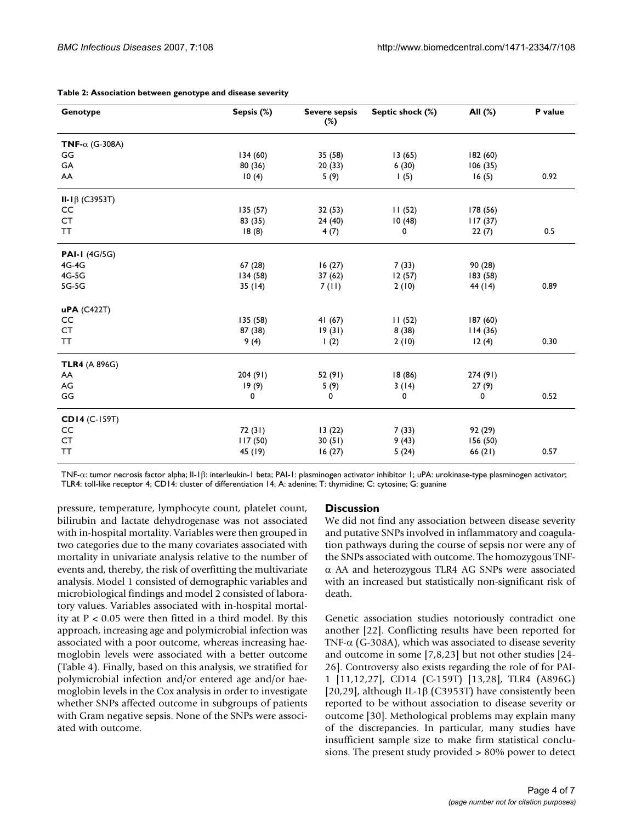| Genotype               | Sepsis (%) | Severe sepsis<br>$(\%)$ | Septic shock (%) | All (%)   | P value |
|------------------------|------------|-------------------------|------------------|-----------|---------|
| TNF- $\alpha$ (G-308A) |            |                         |                  |           |         |
| GG                     | 134(60)    | 35 (58)                 | 13(65)           | 182(60)   |         |
| GA                     | 80 (36)    | 20(33)                  | 6(30)            | 106(35)   |         |
| AA                     | 10(4)      | 5(9)                    | 1(5)             | 16(5)     | 0.92    |
| II-I $\beta$ (C3953T)  |            |                         |                  |           |         |
| CC                     | 135 (57)   | 32(53)                  | 11(52)           | 178(56)   |         |
| <b>CT</b>              | 83 (35)    | 24(40)                  | 10(48)           | 117(37)   |         |
| <b>TT</b>              | 18(8)      | 4(7)                    | 0                | 22(7)     | 0.5     |
| <b>PAI-1 (4G/5G)</b>   |            |                         |                  |           |         |
| 4G-4G                  | 67(28)     | 16(27)                  | 7(33)            | 90(28)    |         |
| 4G-5G                  | 134 (58)   | 37(62)                  | 12(57)           | 183 (58)  |         |
| 5G-5G                  | 35(14)     | 7(11)                   | 2(10)            | 44 (14)   | 0.89    |
| $uPA$ (C422T)          |            |                         |                  |           |         |
| CC                     | 135 (58)   | 41(67)                  | 11(52)           | 187(60)   |         |
| <b>CT</b>              | 87 (38)    | 19(31)                  | 8(38)            | 114(36)   |         |
| <b>TT</b>              | 9(4)       | 1(2)                    | 2(10)            | 12(4)     | 0.30    |
| <b>TLR4</b> (A 896G)   |            |                         |                  |           |         |
| AA                     | 204 (91)   | 52 (91)                 | 18 (86)          | 274 (91)  |         |
| AG                     | 19(9)      | 5(9)                    | 3(14)            | 27(9)     |         |
| GG                     | 0          | 0                       | 0                | 0         | 0.52    |
| CD14 (C-159T)          |            |                         |                  |           |         |
| CC                     | 72 (31)    | 13(22)                  | 7(33)            | 92 (29)   |         |
| <b>CT</b>              | 117(50)    | 30(51)                  | 9(43)            | 156(50)   |         |
| <b>TT</b>              | 45 (19)    | 16(27)                  | 5(24)            | 66 $(21)$ | 0.57    |

#### **Table 2: Association between genotype and disease severity**

TNF-α: tumor necrosis factor alpha; Il-1β: interleukin-1 beta; PAI-1: plasminogen activator inhibitor 1; uPA: urokinase-type plasminogen activator; TLR4: toll-like receptor 4; CD14: cluster of differentiation 14; A: adenine; T: thymidine; C: cytosine; G: guanine

pressure, temperature, lymphocyte count, platelet count, bilirubin and lactate dehydrogenase was not associated with in-hospital mortality. Variables were then grouped in two categories due to the many covariates associated with mortality in univariate analysis relative to the number of events and, thereby, the risk of overfitting the multivariate analysis. Model 1 consisted of demographic variables and microbiological findings and model 2 consisted of laboratory values. Variables associated with in-hospital mortality at  $P < 0.05$  were then fitted in a third model. By this approach, increasing age and polymicrobial infection was associated with a poor outcome, whereas increasing haemoglobin levels were associated with a better outcome (Table 4). Finally, based on this analysis, we stratified for polymicrobial infection and/or entered age and/or haemoglobin levels in the Cox analysis in order to investigate whether SNPs affected outcome in subgroups of patients with Gram negative sepsis. None of the SNPs were associated with outcome.

### **Discussion**

We did not find any association between disease severity and putative SNPs involved in inflammatory and coagulation pathways during the course of sepsis nor were any of the SNPs associated with outcome. The homozygous TNFα AA and heterozygous TLR4 AG SNPs were associated with an increased but statistically non-significant risk of death.

Genetic association studies notoriously contradict one another [22]. Conflicting results have been reported for TNF- $\alpha$  (G-308A), which was associated to disease severity and outcome in some [7,8,23] but not other studies [24- 26]. Controversy also exists regarding the role of for PAI-1 [11,12,27], CD14 (C-159T) [13,28], TLR4 (A896G) [20,29], although IL-1β (C3953T) have consistently been reported to be without association to disease severity or outcome [30]. Methological problems may explain many of the discrepancies. In particular, many studies have insufficient sample size to make firm statistical conclusions. The present study provided > 80% power to detect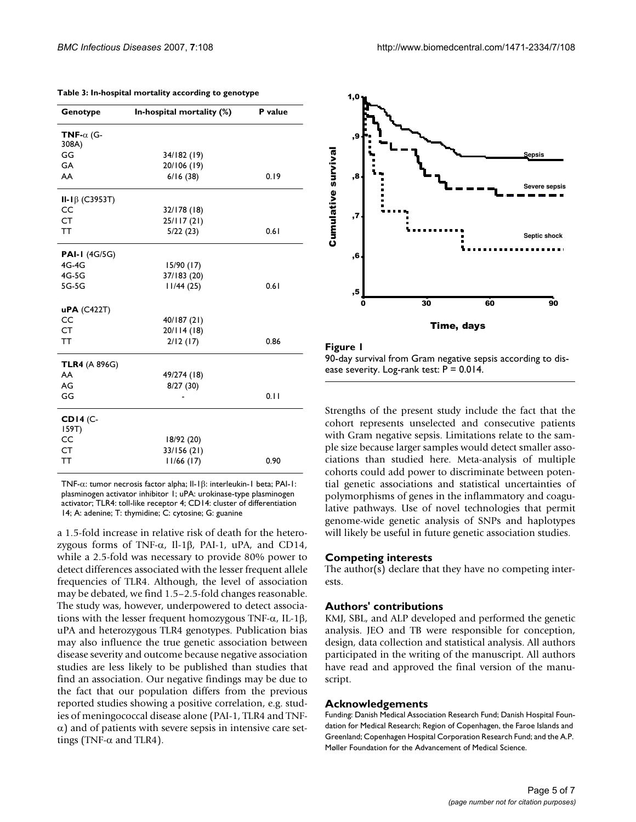| Genotype                   | In-hospital mortality (%) | P value |  |
|----------------------------|---------------------------|---------|--|
| TNF- $\alpha$ (G-<br>308A) |                           |         |  |
| GG                         | 34/182 (19)               |         |  |
| GA                         | 20/106 (19)               |         |  |
| AA                         | 6/16(38)                  | 0.19    |  |
| II-I $\beta$ (C3953T)      |                           |         |  |
| CC                         | 32/178 (18)               |         |  |
| CT                         | 25/117(21)                |         |  |
| TΤ                         | 5/22(23)                  | 0.61    |  |
| <b>PAI-I</b> (4G/5G)       |                           |         |  |
| 4G-4G                      | 15/90(17)                 |         |  |
| 4G-5G                      | 37/183 (20)               |         |  |
| 5G-5G                      | 11/44(25)                 | 0.61    |  |
| <b>uPA</b> (C422T)         |                           |         |  |
| CC                         | 40/187 (21)               |         |  |
| CT.                        | 20/114(18)                |         |  |
| TΤ                         | 2/12(17)                  | 0.86    |  |
| <b>TLR4</b> (A 896G)       |                           |         |  |
| AA                         | 49/274 (18)               |         |  |
| AG                         | 8/27(30)                  |         |  |
| GG                         |                           | 0.11    |  |
| $CDI4$ (C-<br>159T         |                           |         |  |
| CC                         | 18/92 (20)                |         |  |
| CT                         | 33/156 (21)               |         |  |
| тт                         | $11/66$ (17)              | 0.90    |  |

**Table 3: In-hospital mortality according to genotype**

TNF-α: tumor necrosis factor alpha; Il-1β: interleukin-1 beta; PAI-1: plasminogen activator inhibitor 1; uPA: urokinase-type plasminogen activator; TLR4: toll-like receptor 4; CD14: cluster of differentiation 14; A: adenine; T: thymidine; C: cytosine; G: guanine

a 1.5-fold increase in relative risk of death for the heterozygous forms of TNF-α, Il-1β, PAI-1, uPA, and CD14, while a 2.5-fold was necessary to provide 80% power to detect differences associated with the lesser frequent allele frequencies of TLR4. Although, the level of association may be debated, we find 1.5–2.5-fold changes reasonable. The study was, however, underpowered to detect associations with the lesser frequent homozygous TNF- $α$ , IL-1β, uPA and heterozygous TLR4 genotypes. Publication bias may also influence the true genetic association between disease severity and outcome because negative association studies are less likely to be published than studies that find an association. Our negative findings may be due to the fact that our population differs from the previous reported studies showing a positive correlation, e.g. studies of meningococcal disease alone (PAI-1, TLR4 and TNF- $\alpha$ ) and of patients with severe sepsis in intensive care settings (TNF- $\alpha$  and TLR4).



Figure 1

90-day survival from Gram negative sepsis according to disease severity. Log-rank test:  $P = 0.014$ .

Strengths of the present study include the fact that the cohort represents unselected and consecutive patients with Gram negative sepsis. Limitations relate to the sample size because larger samples would detect smaller associations than studied here. Meta-analysis of multiple cohorts could add power to discriminate between potential genetic associations and statistical uncertainties of polymorphisms of genes in the inflammatory and coagulative pathways. Use of novel technologies that permit genome-wide genetic analysis of SNPs and haplotypes will likely be useful in future genetic association studies.

### **Competing interests**

The author(s) declare that they have no competing interests.

### **Authors' contributions**

KMJ, SBL, and ALP developed and performed the genetic analysis. JEO and TB were responsible for conception, design, data collection and statistical analysis. All authors participated in the writing of the manuscript. All authors have read and approved the final version of the manuscript.

#### **Acknowledgements**

Funding: Danish Medical Association Research Fund; Danish Hospital Foundation for Medical Research; Region of Copenhagen, the Faroe Islands and Greenland; Copenhagen Hospital Corporation Research Fund; and the A.P. Møller Foundation for the Advancement of Medical Science.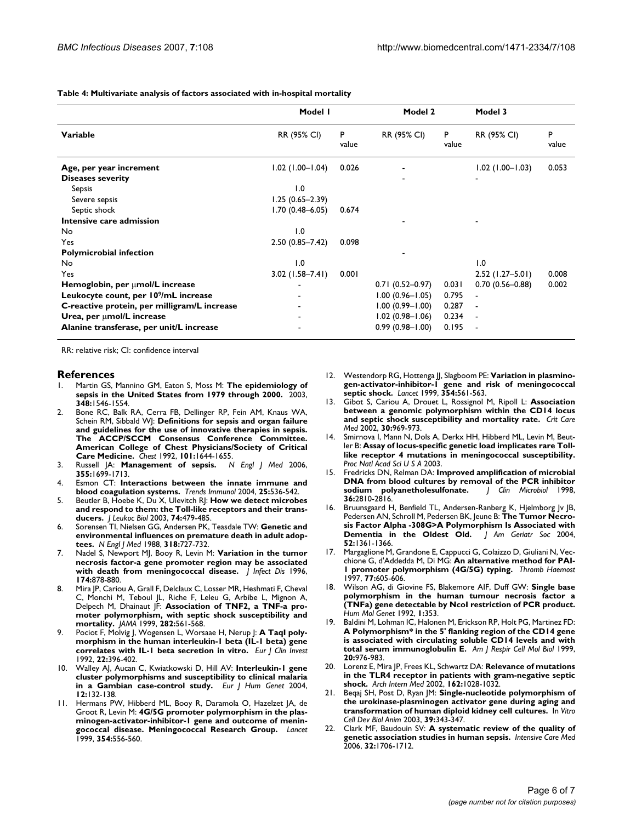**Table 4: Multivariate analysis of factors associated with in-hospital mortality**

|                                                   | Model I             |            | Model 2             |            | Model 3             |            |
|---------------------------------------------------|---------------------|------------|---------------------|------------|---------------------|------------|
| Variable                                          | RR (95% CI)         | P<br>value | RR (95% CI)         | P<br>value | RR (95% CI)         | P<br>value |
| Age, per year increment                           | $1.02$ (1.00-1.04)  | 0.026      |                     |            | $1.02$ (1.00-1.03)  | 0.053      |
| <b>Diseases severity</b>                          |                     |            |                     |            | $\blacksquare$      |            |
| Sepsis                                            | 1.0                 |            |                     |            |                     |            |
| Severe sepsis                                     | $1.25(0.65 - 2.39)$ |            |                     |            |                     |            |
| Septic shock                                      | $1.70(0.48 - 6.05)$ | 0.674      |                     |            |                     |            |
| Intensive care admission                          |                     |            |                     |            |                     |            |
| No                                                | 1.0                 |            |                     |            |                     |            |
| Yes                                               | $2.50(0.85 - 7.42)$ | 0.098      |                     |            |                     |            |
| <b>Polymicrobial infection</b>                    |                     |            |                     |            |                     |            |
| No                                                | 1.0                 |            |                     |            | 1.0                 |            |
| Yes                                               | $3.02$ (1.58-7.41)  | 0.001      |                     |            | $2.52$ (1.27-5.01)  | 0.008      |
| Hemoglobin, per umol/L increase                   |                     |            | $0.71(0.52 - 0.97)$ | 0.031      | $0.70(0.56 - 0.88)$ | 0.002      |
| Leukocyte count, per 10 <sup>9</sup> /mL increase |                     |            | $1.00(0.96 - 1.05)$ | 0.795      |                     |            |
| C-reactive protein, per milligram/L increase      |                     |            | $1.00(0.99 - 1.00)$ | 0.287      |                     |            |
| Urea, per umol/L increase                         |                     |            | $1.02(0.98 - 1.06)$ | 0.234      |                     |            |
| Alanine transferase, per unit/L increase          |                     |            | $0.99(0.98 - 1.00)$ | 0.195      |                     |            |

RR: relative risk; CI: confidence interval

#### **References**

- 1. Martin GS, Mannino GM, Eaton S, Moss M: **[The epidemiology of](http://www.ncbi.nlm.nih.gov/entrez/query.fcgi?cmd=Retrieve&db=PubMed&dopt=Abstract&list_uids=12700374) [sepsis in the United States from 1979 through 2000.](http://www.ncbi.nlm.nih.gov/entrez/query.fcgi?cmd=Retrieve&db=PubMed&dopt=Abstract&list_uids=12700374)** 2003, **348:**1546-1554.
- 2. Bone RC, Balk RA, Cerra FB, Dellinger RP, Fein AM, Knaus WA, Schein RM, Sibbald WJ: **[Definitions for sepsis and organ failure](http://www.ncbi.nlm.nih.gov/entrez/query.fcgi?cmd=Retrieve&db=PubMed&dopt=Abstract&list_uids=1303622) and guidelines for the use of innovative therapies in sepsis. [The ACCP/SCCM Consensus Conference Committee.](http://www.ncbi.nlm.nih.gov/entrez/query.fcgi?cmd=Retrieve&db=PubMed&dopt=Abstract&list_uids=1303622) American College of Chest Physicians/Society of Critical [Care Medicine.](http://www.ncbi.nlm.nih.gov/entrez/query.fcgi?cmd=Retrieve&db=PubMed&dopt=Abstract&list_uids=1303622)** *Chest* 1992, **101:**1644-1655.
- 3. Russell JA: **[Management of sepsis.](http://www.ncbi.nlm.nih.gov/entrez/query.fcgi?cmd=Retrieve&db=PubMed&dopt=Abstract&list_uids=17050894)** *N Engl J Med* 2006, **355:**1699-1713.
- 4. Esmon CT: **[Interactions between the innate immune and](http://www.ncbi.nlm.nih.gov/entrez/query.fcgi?cmd=Retrieve&db=PubMed&dopt=Abstract&list_uids=15364056) [blood coagulation systems.](http://www.ncbi.nlm.nih.gov/entrez/query.fcgi?cmd=Retrieve&db=PubMed&dopt=Abstract&list_uids=15364056)** *Trends Immunol* 2004, **25:**536-542.
- 5. Beutler B, Hoebe K, Du X, Ulevitch RJ: **[How we detect microbes](http://www.ncbi.nlm.nih.gov/entrez/query.fcgi?cmd=Retrieve&db=PubMed&dopt=Abstract&list_uids=12960260) [and respond to them: the Toll-like receptors and their trans](http://www.ncbi.nlm.nih.gov/entrez/query.fcgi?cmd=Retrieve&db=PubMed&dopt=Abstract&list_uids=12960260)[ducers.](http://www.ncbi.nlm.nih.gov/entrez/query.fcgi?cmd=Retrieve&db=PubMed&dopt=Abstract&list_uids=12960260)** *J Leukoc Biol* 2003, **74:**479-485.
- 6. Sorensen TI, Nielsen GG, Andersen PK, Teasdale TW: **[Genetic and](http://www.ncbi.nlm.nih.gov/entrez/query.fcgi?cmd=Retrieve&db=PubMed&dopt=Abstract&list_uids=3347221) [environmental influences on premature death in adult adop](http://www.ncbi.nlm.nih.gov/entrez/query.fcgi?cmd=Retrieve&db=PubMed&dopt=Abstract&list_uids=3347221)[tees.](http://www.ncbi.nlm.nih.gov/entrez/query.fcgi?cmd=Retrieve&db=PubMed&dopt=Abstract&list_uids=3347221)** *N Engl J Med* 1988, **318:**727-732.
- 7. Nadel S, Newport MJ, Booy R, Levin M: **[Variation in the tumor](http://www.ncbi.nlm.nih.gov/entrez/query.fcgi?cmd=Retrieve&db=PubMed&dopt=Abstract&list_uids=8843235) [necrosis factor-a gene promoter region may be associated](http://www.ncbi.nlm.nih.gov/entrez/query.fcgi?cmd=Retrieve&db=PubMed&dopt=Abstract&list_uids=8843235) [with death from meningococcal disease.](http://www.ncbi.nlm.nih.gov/entrez/query.fcgi?cmd=Retrieve&db=PubMed&dopt=Abstract&list_uids=8843235)** *J Infect Dis* 1996, **174:**878-880.
- Mira JP, Cariou A, Grall F, Delclaux C, Losser MR, Heshmati F, Cheval C, Monchi M, Teboul JL, Riche F, Leleu G, Arbibe L, Mignon A, Delpech M, Dhainaut JF: **[Association of TNF2, a TNF-a pro](http://www.ncbi.nlm.nih.gov/entrez/query.fcgi?cmd=Retrieve&db=PubMed&dopt=Abstract&list_uids=10450718)[moter polymorphism, with septic shock susceptibility and](http://www.ncbi.nlm.nih.gov/entrez/query.fcgi?cmd=Retrieve&db=PubMed&dopt=Abstract&list_uids=10450718) [mortality.](http://www.ncbi.nlm.nih.gov/entrez/query.fcgi?cmd=Retrieve&db=PubMed&dopt=Abstract&list_uids=10450718)** *JAMA* 1999, **282:**561-568.
- 9. Pociot F, Molvig J, Wogensen L, Worsaae H, Nerup J: **[A TaqI poly](http://www.ncbi.nlm.nih.gov/entrez/query.fcgi?cmd=Retrieve&db=PubMed&dopt=Abstract&list_uids=1353022)[morphism in the human interleukin-1 beta \(IL-1 beta\) gene](http://www.ncbi.nlm.nih.gov/entrez/query.fcgi?cmd=Retrieve&db=PubMed&dopt=Abstract&list_uids=1353022) [correlates with IL-1 beta secretion in vitro.](http://www.ncbi.nlm.nih.gov/entrez/query.fcgi?cmd=Retrieve&db=PubMed&dopt=Abstract&list_uids=1353022)** *Eur J Clin Invest* 1992, **22:**396-402.
- 10. Walley AJ, Aucan C, Kwiatkowski D, Hill AV: **[Interleukin-1 gene](http://www.ncbi.nlm.nih.gov/entrez/query.fcgi?cmd=Retrieve&db=PubMed&dopt=Abstract&list_uids=14673470) [cluster polymorphisms and susceptibility to clinical malaria](http://www.ncbi.nlm.nih.gov/entrez/query.fcgi?cmd=Retrieve&db=PubMed&dopt=Abstract&list_uids=14673470) [in a Gambian case-control study.](http://www.ncbi.nlm.nih.gov/entrez/query.fcgi?cmd=Retrieve&db=PubMed&dopt=Abstract&list_uids=14673470)** *Eur J Hum Genet* 2004, **12:**132-138.
- 11. Hermans PW, Hibberd ML, Booy R, Daramola O, Hazelzet JA, de Groot R, Levin M: **[4G/5G promoter polymorphism in the plas](http://www.ncbi.nlm.nih.gov/entrez/query.fcgi?cmd=Retrieve&db=PubMed&dopt=Abstract&list_uids=10470700)[minogen-activator-inhibitor-1 gene and outcome of menin](http://www.ncbi.nlm.nih.gov/entrez/query.fcgi?cmd=Retrieve&db=PubMed&dopt=Abstract&list_uids=10470700)[gococcal disease. Meningococcal Research Group.](http://www.ncbi.nlm.nih.gov/entrez/query.fcgi?cmd=Retrieve&db=PubMed&dopt=Abstract&list_uids=10470700)** *Lancet* 1999, **354:**556-560.
- 12. Westendorp RG, Hottenga JJ, Slagboom PE: **[Variation in plasmino](http://www.ncbi.nlm.nih.gov/entrez/query.fcgi?cmd=Retrieve&db=PubMed&dopt=Abstract&list_uids=10470701)[gen-activator-inhibitor-1 gene and risk of meningococcal](http://www.ncbi.nlm.nih.gov/entrez/query.fcgi?cmd=Retrieve&db=PubMed&dopt=Abstract&list_uids=10470701) [septic shock.](http://www.ncbi.nlm.nih.gov/entrez/query.fcgi?cmd=Retrieve&db=PubMed&dopt=Abstract&list_uids=10470701)** *Lancet* 1999, **354:**561-563.
- 13. Gibot S, Cariou A, Drouet L, Rossignol M, Ripoll L: **[Association](http://www.ncbi.nlm.nih.gov/entrez/query.fcgi?cmd=Retrieve&db=PubMed&dopt=Abstract&list_uids=12006789) [between a genomic polymorphism within the CD14 locus](http://www.ncbi.nlm.nih.gov/entrez/query.fcgi?cmd=Retrieve&db=PubMed&dopt=Abstract&list_uids=12006789) [and septic shock susceptibility and mortality rate.](http://www.ncbi.nlm.nih.gov/entrez/query.fcgi?cmd=Retrieve&db=PubMed&dopt=Abstract&list_uids=12006789)** *Crit Care Med* 2002, **30:**969-973.
- 14. Smirnova I, Mann N, Dols A, Derkx HH, Hibberd ML, Levin M, Beutler B: **[Assay of locus-specific genetic load implicates rare Toll](http://www.ncbi.nlm.nih.gov/entrez/query.fcgi?cmd=Retrieve&db=PubMed&dopt=Abstract&list_uids=12730365)[like receptor 4 mutations in meningococcal susceptibility.](http://www.ncbi.nlm.nih.gov/entrez/query.fcgi?cmd=Retrieve&db=PubMed&dopt=Abstract&list_uids=12730365)** *Proc Natl Acad Sci U S A* 2003.
- 15. Fredricks DN, Relman DA: **[Improved amplification of microbial](http://www.ncbi.nlm.nih.gov/entrez/query.fcgi?cmd=Retrieve&db=PubMed&dopt=Abstract&list_uids=9738025) [DNA from blood cultures by removal of the PCR inhibitor](http://www.ncbi.nlm.nih.gov/entrez/query.fcgi?cmd=Retrieve&db=PubMed&dopt=Abstract&list_uids=9738025) sodium** polyanetholesulfonate. J Clin Microbiol 1998, [sodium polyanetholesulfonate.](http://www.ncbi.nlm.nih.gov/entrez/query.fcgi?cmd=Retrieve&db=PubMed&dopt=Abstract&list_uids=9738025) **36:**2810-2816.
- 16. Bruunsgaard H, Benfield TL, Andersen-Ranberg K, Hjelmborg Jv JB, Pedersen AN, Schroll M, Pedersen BK, Jeune B: **[The Tumor Necro](http://www.ncbi.nlm.nih.gov/entrez/query.fcgi?cmd=Retrieve&db=PubMed&dopt=Abstract&list_uids=15271127)[sis Factor Alpha -308G>A Polymorphism Is Associated with](http://www.ncbi.nlm.nih.gov/entrez/query.fcgi?cmd=Retrieve&db=PubMed&dopt=Abstract&list_uids=15271127) [Dementia in the Oldest Old.](http://www.ncbi.nlm.nih.gov/entrez/query.fcgi?cmd=Retrieve&db=PubMed&dopt=Abstract&list_uids=15271127) 52:**1361-1366.
- 17. Margaglione M, Grandone E, Cappucci G, Colaizzo D, Giuliani N, Vecchione G, d'Addedda M, Di MG: **[An alternative method for PAI-](http://www.ncbi.nlm.nih.gov/entrez/query.fcgi?cmd=Retrieve&db=PubMed&dopt=Abstract&list_uids=9066021)[1 promoter polymorphism \(4G/5G\) typing.](http://www.ncbi.nlm.nih.gov/entrez/query.fcgi?cmd=Retrieve&db=PubMed&dopt=Abstract&list_uids=9066021)** *Thromb Haemost* 1997, **77:**605-606.
- 18. Wilson AG, di Giovine FS, Blakemore AIF, Duff GW: **[Single base](http://www.ncbi.nlm.nih.gov/entrez/query.fcgi?cmd=Retrieve&db=PubMed&dopt=Abstract&list_uids=1363876) polymorphism in the human tumour necrosis factor a [\(TNFa\) gene detectable by NcoI restriction of PCR product.](http://www.ncbi.nlm.nih.gov/entrez/query.fcgi?cmd=Retrieve&db=PubMed&dopt=Abstract&list_uids=1363876)** *Hum Mol Genet* 1992, **1:**353.
- 19. Baldini M, Lohman IC, Halonen M, Erickson RP, Holt PG, Martinez FD: **A Polymorphism\* in the 5' flanking region of the CD14 gene [is associated with circulating soluble CD14 levels and with](http://www.ncbi.nlm.nih.gov/entrez/query.fcgi?cmd=Retrieve&db=PubMed&dopt=Abstract&list_uids=10226067) [total serum immunoglobulin E.](http://www.ncbi.nlm.nih.gov/entrez/query.fcgi?cmd=Retrieve&db=PubMed&dopt=Abstract&list_uids=10226067)** *Am J Respir Cell Mol Biol* 1999, **20:**976-983.
- 20. Lorenz E, Mira JP, Frees KL, Schwartz DA: **[Relevance of mutations](http://www.ncbi.nlm.nih.gov/entrez/query.fcgi?cmd=Retrieve&db=PubMed&dopt=Abstract&list_uids=11996613) [in the TLR4 receptor in patients with gram-negative septic](http://www.ncbi.nlm.nih.gov/entrez/query.fcgi?cmd=Retrieve&db=PubMed&dopt=Abstract&list_uids=11996613) [shock.](http://www.ncbi.nlm.nih.gov/entrez/query.fcgi?cmd=Retrieve&db=PubMed&dopt=Abstract&list_uids=11996613)** *Arch Intern Med* 2002, **162:**1028-1032.
- 21. Beqaj SH, Post D, Ryan JM: **[Single-nucleotide polymorphism of](http://www.ncbi.nlm.nih.gov/entrez/query.fcgi?cmd=Retrieve&db=PubMed&dopt=Abstract&list_uids=14686874) [the urokinase-plasminogen activator gene during aging and](http://www.ncbi.nlm.nih.gov/entrez/query.fcgi?cmd=Retrieve&db=PubMed&dopt=Abstract&list_uids=14686874) [transformation of human diploid kidney cell cultures.](http://www.ncbi.nlm.nih.gov/entrez/query.fcgi?cmd=Retrieve&db=PubMed&dopt=Abstract&list_uids=14686874)** In *Vitro Cell Dev Biol Anim* 2003, **39:**343-347.
- 22. Clark MF, Baudouin SV: **[A systematic review of the quality of](http://www.ncbi.nlm.nih.gov/entrez/query.fcgi?cmd=Retrieve&db=PubMed&dopt=Abstract&list_uids=16957907) [genetic association studies in human sepsis.](http://www.ncbi.nlm.nih.gov/entrez/query.fcgi?cmd=Retrieve&db=PubMed&dopt=Abstract&list_uids=16957907)** *Intensive Care Med* 2006, **32:**1706-1712.